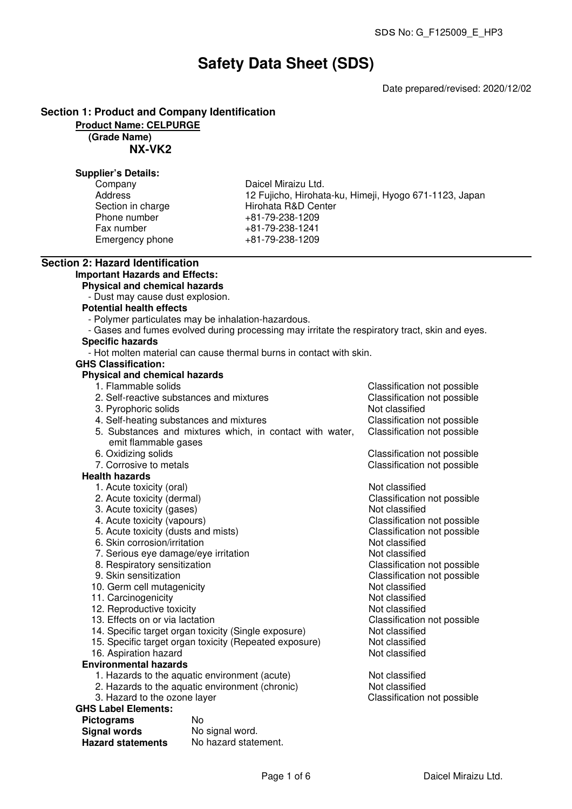# **Safety Data Sheet (SDS)**

Date prepared/revised: 2020/12/02

## **Section 1: Product and Company Identification**

**Product Name: CELPURGE**

## **(Grade Name)**

**NX-VK2**

#### **Supplier's Details:**

| Company           |
|-------------------|
| Address           |
| Section in charge |
| Phone number      |
| Fax number        |
| Emergency phone   |

Daicel Miraizu Ltd. 12 Fujicho, Hirohata-ku, Himeji, Hyogo 671-1123, Japan Hirohata R&D Center  $+81-79-238-1209$ Fax number +81-79-238-1241 Emergency phone +81-79-238-1209

## **Section 2: Hazard Identification**

## **Important Hazards and Effects:**

**Physical and chemical hazards**

- Dust may cause dust explosion.

#### **Potential health effects**

- Polymer particulates may be inhalation-hazardous.
- Gases and fumes evolved during processing may irritate the respiratory tract, skin and eyes.

## **Specific hazards**

- Hot molten material can cause thermal burns in contact with skin.

## **GHS Classification:**

## **Physical and chemical hazards**

- 
- 1. Flammable solids<br>
2. Self-reactive substances and mixtures<br>
Classification not possible<br>
Classification not possible 2. Self-reactive substances and mixtures 3. Pyrophoric solids Not classified 4. Self-heating substances and mixtures Classification not possible 5. Substances and mixtures which, in contact with water, emit flammable gases Classification not possible
- 6. Oxidizing solids Classification not possible
- 7. Corrosive to metals **Classification not possible**

#### **Health hazards**

- 1. Acute toxicity (oral) and the contract of the Not classified
- 2. Acute toxicity (dermal) Classification not possible
- 3. Acute toxicity (gases) and the set of the Not classified
- 
- 4. Acute toxicity (vapours)<br>
5. Acute toxicity (dusts and mists) Classification not possible<br>
Classification not possible 5. Acute toxicity (dusts and mists) Classification control of the Section of Posterion Classification 6. Skin corrosion/irritation
- 6. Skin corrosion/irritation
- 7. Serious eye damage/eye irritation and the series of the Not classified Not classified<br>8. Respiratory sensitization Note of the Classification not possible
- 8. Respiratory sensitization<br>9. Skin sensitization
- 
- 10. Germ cell mutagenicity
- 11. Carcinogenicity **Note and Contact Contact Contact Contact Contact Contact Contact Contact Contact Contact Contact Contact Contact Contact Contact Contact Contact Contact Contact Contact Contact Contact Contact Contact**
- 12. Reproductive toxicity and the state of the Not classified
- 13. Effects on or via lactation Classification not possible
- 14. Specific target organ toxicity (Single exposure) Not classified
- 15. Specific target organ toxicity (Repeated exposure) Not classified<br>16. Aspiration hazard
- 16. Aspiration hazard
- **Environmental hazards**
	- 1. Hazards to the aquatic environment (acute) Not classified
	- 2. Hazards to the aquatic environment (chronic) Not classified
	- 3. Hazard to the ozone layer Classification not possible

## **GHS Label Elements:**

| <b>Pictograms</b>        | N٥                   |
|--------------------------|----------------------|
| <b>Signal words</b>      | No signal word.      |
| <b>Hazard statements</b> | No hazard statement. |

Classification not possible<br>Not classified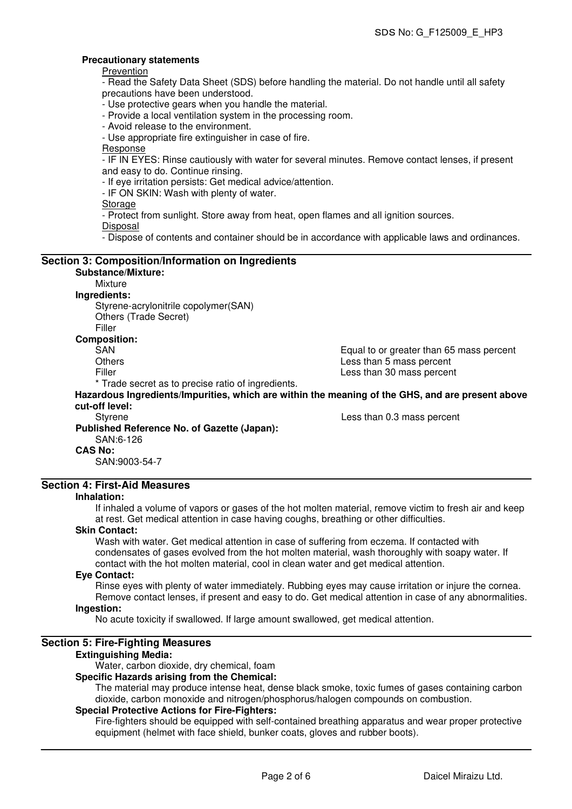#### **Precautionary statements**

Prevention

- Read the Safety Data Sheet (SDS) before handling the material. Do not handle until all safety precautions have been understood.

- Use protective gears when you handle the material.

- Provide a local ventilation system in the processing room.
- Avoid release to the environment.

- Use appropriate fire extinguisher in case of fire.

Response

- IF IN EYES: Rinse cautiously with water for several minutes. Remove contact lenses, if present and easy to do. Continue rinsing.

- If eye irritation persists: Get medical advice/attention.

- IF ON SKIN: Wash with plenty of water.

Storage

- Protect from sunlight. Store away from heat, open flames and all ignition sources.

Disposal

- Dispose of contents and container should be in accordance with applicable laws and ordinances.

## **Section 3: Composition/Information on Ingredients Substance/Mixture:** Mixture **Ingredients:**

Styrene-acrylonitrile copolymer(SAN) Others (Trade Secret)

Filler

#### **Composition:**

SAN GAN Equal to or greater than 65 mass percent<br>Others Company of the state of the state of the state of the Summary School and Summary School and Summary School and Summary School and Summary School and Summary School an Others Less than 5 mass percent<br>Filler Less than 30 mass percent Less than 30 mass percent

\* Trade secret as to precise ratio of ingredients.

**Hazardous Ingredients/Impurities, which are within the meaning of the GHS, and are present above cut-off level:**

Styrene Less than 0.3 mass percent **Published Reference No. of Gazette (Japan):** SAN:6-126 **CAS No:**

SAN:9003-54-7

## **Section 4: First-Aid Measures**

#### **Inhalation:**

If inhaled a volume of vapors or gases of the hot molten material, remove victim to fresh air and keep at rest. Get medical attention in case having coughs, breathing or other difficulties.

#### **Skin Contact:**

Wash with water. Get medical attention in case of suffering from eczema. If contacted with condensates of gases evolved from the hot molten material, wash thoroughly with soapy water. If contact with the hot molten material, cool in clean water and get medical attention.

#### **Eye Contact:**

Rinse eyes with plenty of water immediately. Rubbing eyes may cause irritation or injure the cornea. Remove contact lenses, if present and easy to do. Get medical attention in case of any abnormalities.

## **Ingestion:**

No acute toxicity if swallowed. If large amount swallowed, get medical attention.

#### **Section 5: Fire-Fighting Measures**

#### **Extinguishing Media:**

Water, carbon dioxide, dry chemical, foam

#### **Specific Hazards arising from the Chemical:**

The material may produce intense heat, dense black smoke, toxic fumes of gases containing carbon dioxide, carbon monoxide and nitrogen/phosphorus/halogen compounds on combustion.

#### **Special Protective Actions for Fire-Fighters:**

Fire-fighters should be equipped with self-contained breathing apparatus and wear proper protective equipment (helmet with face shield, bunker coats, gloves and rubber boots).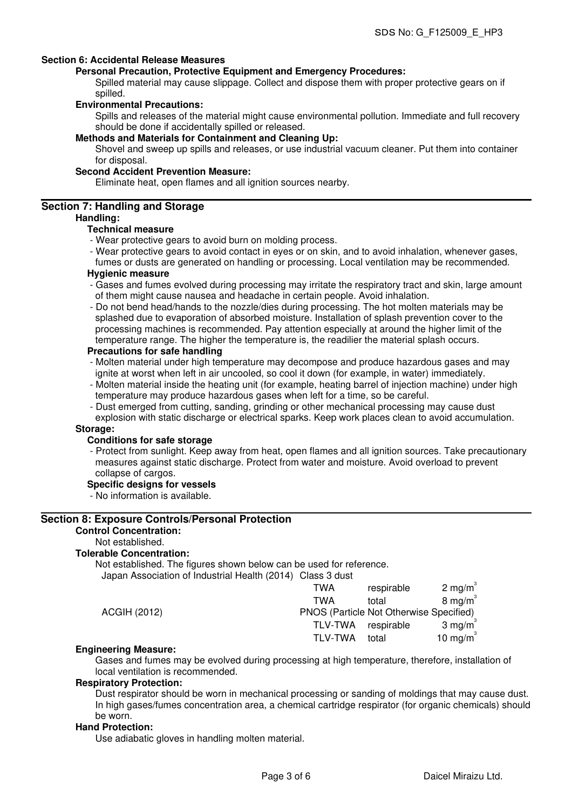#### **Section 6: Accidental Release Measures**

#### **Personal Precaution, Protective Equipment and Emergency Procedures:**

Spilled material may cause slippage. Collect and dispose them with proper protective gears on if spilled.

#### **Environmental Precautions:**

Spills and releases of the material might cause environmental pollution. Immediate and full recovery should be done if accidentally spilled or released.

## **Methods and Materials for Containment and Cleaning Up:**

Shovel and sweep up spills and releases, or use industrial vacuum cleaner. Put them into container for disposal.

#### **Second Accident Prevention Measure:**

Eliminate heat, open flames and all ignition sources nearby.

#### **Section 7: Handling and Storage**

#### **Handling:**

#### **Technical measure**

- Wear protective gears to avoid burn on molding process.
- Wear protective gears to avoid contact in eyes or on skin, and to avoid inhalation, whenever gases, fumes or dusts are generated on handling or processing. Local ventilation may be recommended.

### **Hygienic measure**

- Gases and fumes evolved during processing may irritate the respiratory tract and skin, large amount of them might cause nausea and headache in certain people. Avoid inhalation.
- Do not bend head/hands to the nozzle/dies during processing. The hot molten materials may be splashed due to evaporation of absorbed moisture. Installation of splash prevention cover to the processing machines is recommended. Pay attention especially at around the higher limit of the temperature range. The higher the temperature is, the readilier the material splash occurs.

#### **Precautions for safe handling**

- Molten material under high temperature may decompose and produce hazardous gases and may ignite at worst when left in air uncooled, so cool it down (for example, in water) immediately.
- Molten material inside the heating unit (for example, heating barrel of injection machine) under high temperature may produce hazardous gases when left for a time, so be careful.
- Dust emerged from cutting, sanding, grinding or other mechanical processing may cause dust explosion with static discharge or electrical sparks. Keep work places clean to avoid accumulation.

#### **Storage:**

#### **Conditions for safe storage**

- Protect from sunlight. Keep away from heat, open flames and all ignition sources. Take precautionary measures against static discharge. Protect from water and moisture. Avoid overload to prevent collapse of cargos.

#### **Specific designs for vessels**

- No information is available.

#### **Section 8: Exposure Controls/Personal Protection**

#### **Control Concentration:**

Not established.

#### **Tolerable Concentration:**

Not established. The figures shown below can be used for reference. Japan Association of Industrial Health (2014) Class 3 dust

|              | TWA     | respirable                              | $2 \text{ mg/m}^3$   |
|--------------|---------|-----------------------------------------|----------------------|
|              | TWA     | total                                   | $8 \text{ mg/m}^3$   |
| ACGIH (2012) |         | PNOS (Particle Not Otherwise Specified) |                      |
|              | TLV-TWA | respirable                              | $3 \text{ mg/m}^3$   |
|              | TLV-TWA | total                                   | 10 mg/m <sup>3</sup> |

#### **Engineering Measure:**

Gases and fumes may be evolved during processing at high temperature, therefore, installation of local ventilation is recommended.

#### **Respiratory Protection:**

Dust respirator should be worn in mechanical processing or sanding of moldings that may cause dust. In high gases/fumes concentration area, a chemical cartridge respirator (for organic chemicals) should be worn.

#### **Hand Protection:**

Use adiabatic gloves in handling molten material.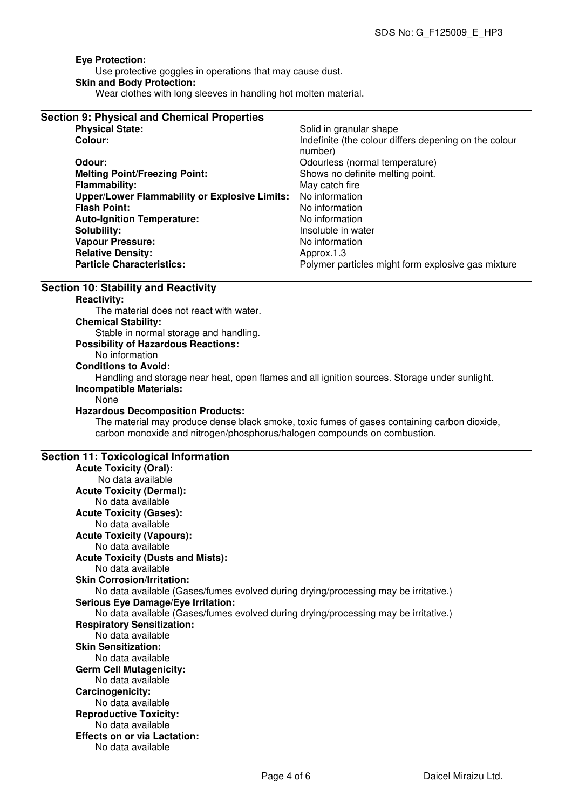#### **Eye Protection:**

Use protective goggles in operations that may cause dust. **Skin and Body Protection:** Wear clothes with long sleeves in handling hot molten material.

| <b>Section 9: Physical and Chemical Properties</b>   |                                                                  |
|------------------------------------------------------|------------------------------------------------------------------|
| <b>Physical State:</b>                               | Solid in granular shape                                          |
| Colour:                                              | Indefinite (the colour differs depening on the colour<br>number) |
| Odour:                                               | Odourless (normal temperature)                                   |
| <b>Melting Point/Freezing Point:</b>                 | Shows no definite melting point.                                 |
| <b>Flammability:</b>                                 | May catch fire                                                   |
| <b>Upper/Lower Flammability or Explosive Limits:</b> | No information                                                   |
| <b>Flash Point:</b>                                  | No information                                                   |
| <b>Auto-Ignition Temperature:</b>                    | No information                                                   |
| Solubility:                                          | Insoluble in water                                               |
| <b>Vapour Pressure:</b>                              | No information                                                   |
| <b>Relative Density:</b>                             | Approx.1.3                                                       |
| <b>Particle Characteristics:</b>                     | Polymer particles might form explosive gas mixture               |

#### **Section 10: Stability and Reactivity**

#### **Reactivity:**

The material does not react with water.

#### **Chemical Stability:**

Stable in normal storage and handling.

## **Possibility of Hazardous Reactions:**

No information

**Conditions to Avoid:**

Handling and storage near heat, open flames and all ignition sources. Storage under sunlight. **Incompatible Materials:**

#### None

#### **Hazardous Decomposition Products:**

The material may produce dense black smoke, toxic fumes of gases containing carbon dioxide, carbon monoxide and nitrogen/phosphorus/halogen compounds on combustion.

#### **Section 11: Toxicological Information**

**Acute Toxicity (Oral):** No data available **Acute Toxicity (Dermal):** No data available **Acute Toxicity (Gases):** No data available **Acute Toxicity (Vapours):** No data available **Acute Toxicity (Dusts and Mists):** No data available **Skin Corrosion/Irritation:** No data available (Gases/fumes evolved during drying/processing may be irritative.) **Serious Eye Damage/Eye Irritation:** No data available (Gases/fumes evolved during drying/processing may be irritative.) **Respiratory Sensitization:** No data available **Skin Sensitization:** No data available **Germ Cell Mutagenicity:** No data available **Carcinogenicity:** No data available **Reproductive Toxicity:** No data available **Effects on or via Lactation:** No data available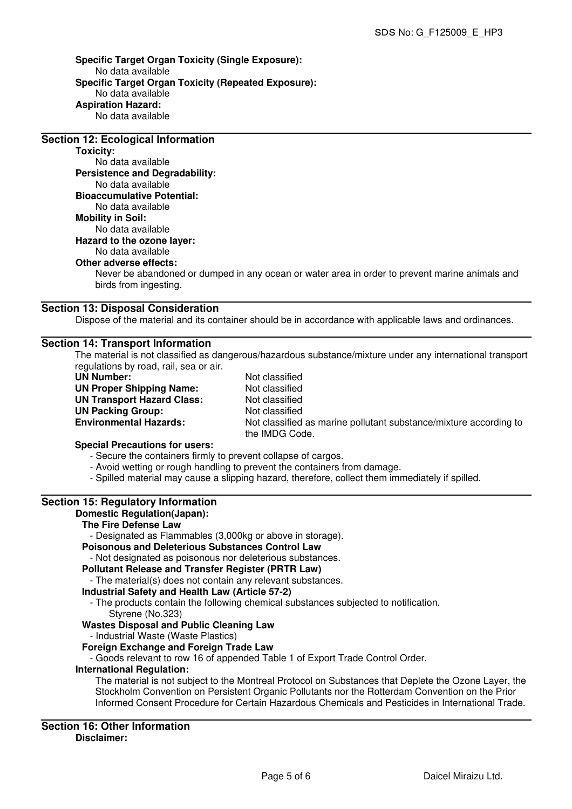**Specific Target Organ Toxicity (Single Exposure):** No data available **Specific Target Organ Toxicity (Repeated Exposure):** No data available **Aspiration Hazard:** No data available

## **Section 12: Ecological Information**

**Toxicity:**

No data available **Persistence and Degradability:** No data available **Bioaccumulative Potential:** No data available **Mobility in Soil:** No data available **Hazard to the ozone layer:** No data available **Other adverse effects:**

Never be abandoned or dumped in any ocean or water area in order to prevent marine animals and birds from ingesting.

#### **Section 13: Disposal Consideration**

Dispose of the material and its container should be in accordance with applicable laws and ordinances.

#### **Section 14: Transport Information**

The material is not classified as dangerous/hazardous substance/mixture under any international transport regulations by road, rail, sea or air.

**UN Number:** Not classified **UN Proper Shipping Name:** Not classified **UN Transport Hazard Class:** Not classified **UN Packing Group:** Not classified<br> **Environmental Hazards:** Not classified

Not classified as marine pollutant substance/mixture according to the IMDG Code.

#### **Special Precautions for users:**

- Secure the containers firmly to prevent collapse of cargos.
- Avoid wetting or rough handling to prevent the containers from damage.
- Spilled material may cause a slipping hazard, therefore, collect them immediately if spilled.

## **Section 15: Regulatory Information**

#### **Domestic Regulation(Japan):**

## **The Fire Defense Law**

- Designated as Flammables (3,000kg or above in storage).

## **Poisonous and Deleterious Substances Control Law**

- Not designated as poisonous nor deleterious substances.

## **Pollutant Release and Transfer Register (PRTR Law)**

- The material(s) does not contain any relevant substances.

#### **Industrial Safety and Health Law (Article 57-2)**

- The products contain the following chemical substances subjected to notification.

Styrene (No.323)

#### **Wastes Disposal and Public Cleaning Law**

- Industrial Waste (Waste Plastics)

#### **Foreign Exchange and Foreign Trade Law**

- Goods relevant to row 16 of appended Table 1 of Export Trade Control Order.

## **International Regulation:**

The material is not subject to the Montreal Protocol on Substances that Deplete the Ozone Layer, the Stockholm Convention on Persistent Organic Pollutants nor the Rotterdam Convention on the Prior Informed Consent Procedure for Certain Hazardous Chemicals and Pesticides in International Trade.

**Section 16: Other Information Disclaimer:**